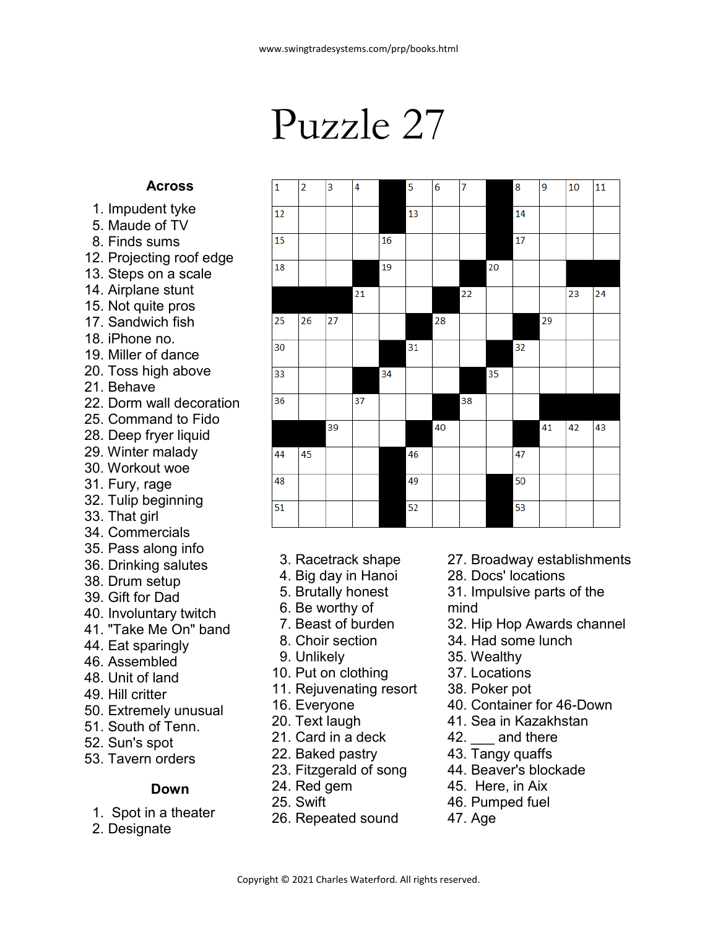## Puzzle 27

 $\overline{4}$ 

 $\overline{5}$ 

 $\overline{6}$ 

 $\overline{7}$ 

 $\overline{\mathbf{R}}$ 

 $\overline{q}$ 

 $\frac{1}{10}$  11

Ъ

 $\overline{1}$  $\overline{\phantom{a}}$ 

## **Across**

- 1. Impudent tyke
- 5. Maude of TV
- 8. Finds sums
- 12. Projecting roof edge
- 13. Steps on a scale
- 14. Airplane stunt
- 15. Not quite pros
- 17. Sandwich fish
- 18. iPhone no.
- 19. Miller of dance
- 20. Toss high above
- 21. Behave
- 22. Dorm wall decoration
- 25. Command to Fido
- 28. Deep fryer liquid
- 29. Winter malady 30. Workout woe
- 31. Fury, rage
- 32. Tulip beginning
- 33. That girl
- 34. Commercials
- 35. Pass along info
- 36. Drinking salutes
- 38. Drum setup
- 39. Gift for Dad
- 40. Involuntary twitch
- 41. "Take Me On" band
- 44. Eat sparingly
- 46. Assembled
- 48. Unit of land
- 49. Hill critter
- 50. Extremely unusual
- 51. South of Tenn.
- 52. Sun's spot
- 53. Tavern orders

## **Down**

- 1. Spot in a theater
- 2. Designate

|  | 3. Racetrack shape |
|--|--------------------|
|--|--------------------|

- 4. Big day in Hanoi
- 5. Brutally honest
- 6. Be worthy of
- 7. Beast of burden
- 8. Choir section
- 9. Unlikely
- 10. Put on clothing
- 11. Rejuvenating resort
- 16. Everyone
- 20. Text laugh
- 21. Card in a deck
- 22. Baked pastry
- 23. Fitzgerald of song
- 24. Red gem
- 25. Swift
- 26. Repeated sound
- 27. Broadway establishments
- 28. Docs' locations
- 31. Impulsive parts of the mind
- 32. Hip Hop Awards channel
- 34. Had some lunch
- 35. Wealthy
- 37. Locations
- 38. Poker pot
- 40. Container for 46-Down
- 41. Sea in Kazakhstan
- 42. and there
- 43. Tangy quaffs
- 44. Beaver's blockade
- 45. Here, in Aix
- 46. Pumped fuel
- 47. Age
- Copyright © 2021 Charles Waterford. All rights reserved.

|                 |    |    |    |    |    |    |    |    |    |    | -- |    |
|-----------------|----|----|----|----|----|----|----|----|----|----|----|----|
| 12              |    |    |    |    | 13 |    |    |    | 14 |    |    |    |
| 15              |    |    |    | 16 |    |    |    |    | 17 |    |    |    |
| 18              |    |    |    | 19 |    |    |    | 20 |    |    |    |    |
|                 |    |    | 21 |    |    |    | 22 |    |    |    | 23 | 24 |
| 25              | 26 | 27 |    |    |    | 28 |    |    |    | 29 |    |    |
| 30              |    |    |    |    | 31 |    |    |    | 32 |    |    |    |
| 33              |    |    |    | 34 |    |    |    | 35 |    |    |    |    |
| 36              |    |    | 37 |    |    |    | 38 |    |    |    |    |    |
|                 |    | 39 |    |    |    | 40 |    |    |    | 41 | 42 | 43 |
| 44              | 45 |    |    |    | 46 |    |    |    | 47 |    |    |    |
| 48              |    |    |    |    | 49 |    |    |    | 50 |    |    |    |
| $\overline{51}$ |    |    |    |    | 52 |    |    |    | 53 |    |    |    |